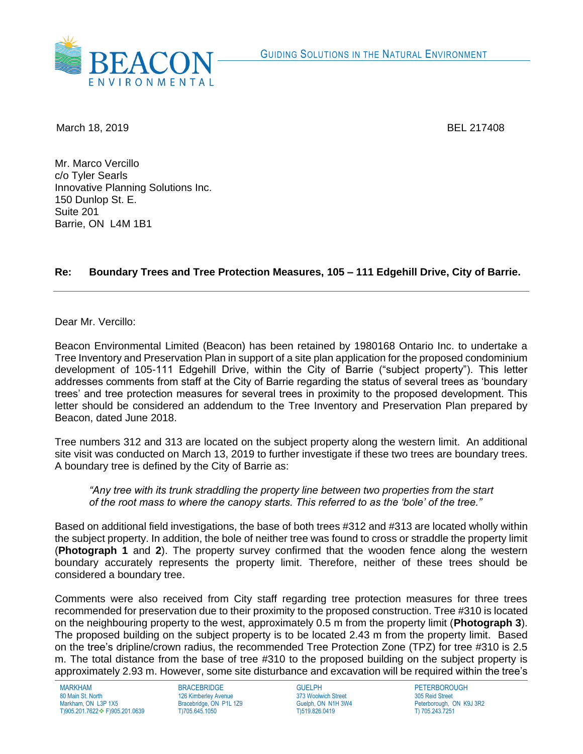

March 18, 2019 BEL 217408

Mr. Marco Vercillo c/o Tyler Searls Innovative Planning Solutions Inc. 150 Dunlop St. E. Suite 201 Barrie, ON L4M 1B1

## **Re: Boundary Trees and Tree Protection Measures, 105 – 111 Edgehill Drive, City of Barrie.**

Dear Mr. Vercillo:

Beacon Environmental Limited (Beacon) has been retained by 1980168 Ontario Inc. to undertake a Tree Inventory and Preservation Plan in support of a site plan application for the proposed condominium development of 105-111 Edgehill Drive, within the City of Barrie ("subject property"). This letter addresses comments from staff at the City of Barrie regarding the status of several trees as 'boundary trees' and tree protection measures for several trees in proximity to the proposed development. This letter should be considered an addendum to the Tree Inventory and Preservation Plan prepared by Beacon, dated June 2018.

Tree numbers 312 and 313 are located on the subject property along the western limit. An additional site visit was conducted on March 13, 2019 to further investigate if these two trees are boundary trees. A boundary tree is defined by the City of Barrie as:

*"Any tree with its trunk straddling the property line between two properties from the start of the root mass to where the canopy starts. This referred to as the 'bole' of the tree."*

Based on additional field investigations, the base of both trees #312 and #313 are located wholly within the subject property. In addition, the bole of neither tree was found to cross or straddle the property limit (**Photograph 1** and **2**). The property survey confirmed that the wooden fence along the western boundary accurately represents the property limit. Therefore, neither of these trees should be considered a boundary tree.

Comments were also received from City staff regarding tree protection measures for three trees recommended for preservation due to their proximity to the proposed construction. Tree #310 is located on the neighbouring property to the west, approximately 0.5 m from the property limit (**Photograph 3**). The proposed building on the subject property is to be located 2.43 m from the property limit. Based on the tree's dripline/crown radius, the recommended Tree Protection Zone (TPZ) for tree #310 is 2.5 m. The total distance from the base of tree #310 to the proposed building on the subject property is approximately 2.93 m. However, some site disturbance and excavation will be required within the tree's

MARKHAM 80 Main St. North Markham, ON L3P 1X5 T)905.201.7622❖ F)905.201.0639 BRACEBRIDGE 126 Kimberley Avenue Bracebridge, ON P1L 1Z9 T)705.645.1050

GUELPH 373 Woolwich Street Guelph, ON N1H 3W4 T)519.826.0419

**PETERBOROUGH** 305 Reid Street Peterborough, ON K9J 3R2 T) 705.243.7251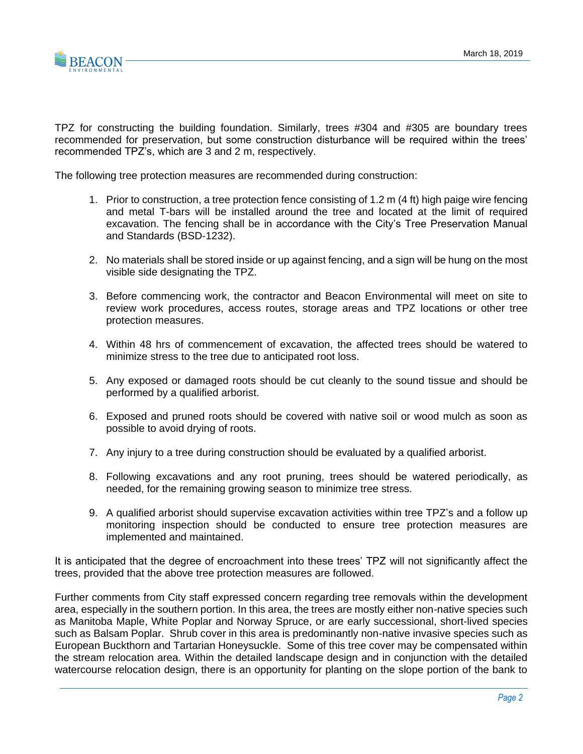

TPZ for constructing the building foundation. Similarly, trees #304 and #305 are boundary trees recommended for preservation, but some construction disturbance will be required within the trees' recommended TPZ's, which are 3 and 2 m, respectively.

The following tree protection measures are recommended during construction:

- 1. Prior to construction, a tree protection fence consisting of 1.2 m (4 ft) high paige wire fencing and metal T-bars will be installed around the tree and located at the limit of required excavation. The fencing shall be in accordance with the City's Tree Preservation Manual and Standards (BSD-1232).
- 2. No materials shall be stored inside or up against fencing, and a sign will be hung on the most visible side designating the TPZ.
- 3. Before commencing work, the contractor and Beacon Environmental will meet on site to review work procedures, access routes, storage areas and TPZ locations or other tree protection measures.
- 4. Within 48 hrs of commencement of excavation, the affected trees should be watered to minimize stress to the tree due to anticipated root loss.
- 5. Any exposed or damaged roots should be cut cleanly to the sound tissue and should be performed by a qualified arborist.
- 6. Exposed and pruned roots should be covered with native soil or wood mulch as soon as possible to avoid drying of roots.
- 7. Any injury to a tree during construction should be evaluated by a qualified arborist.
- 8. Following excavations and any root pruning, trees should be watered periodically, as needed, for the remaining growing season to minimize tree stress.
- 9. A qualified arborist should supervise excavation activities within tree TPZ's and a follow up monitoring inspection should be conducted to ensure tree protection measures are implemented and maintained.

It is anticipated that the degree of encroachment into these trees' TPZ will not significantly affect the trees, provided that the above tree protection measures are followed.

Further comments from City staff expressed concern regarding tree removals within the development area, especially in the southern portion. In this area, the trees are mostly either non-native species such as Manitoba Maple, White Poplar and Norway Spruce, or are early successional, short-lived species such as Balsam Poplar. Shrub cover in this area is predominantly non-native invasive species such as European Buckthorn and Tartarian Honeysuckle. Some of this tree cover may be compensated within the stream relocation area. Within the detailed landscape design and in conjunction with the detailed watercourse relocation design, there is an opportunity for planting on the slope portion of the bank to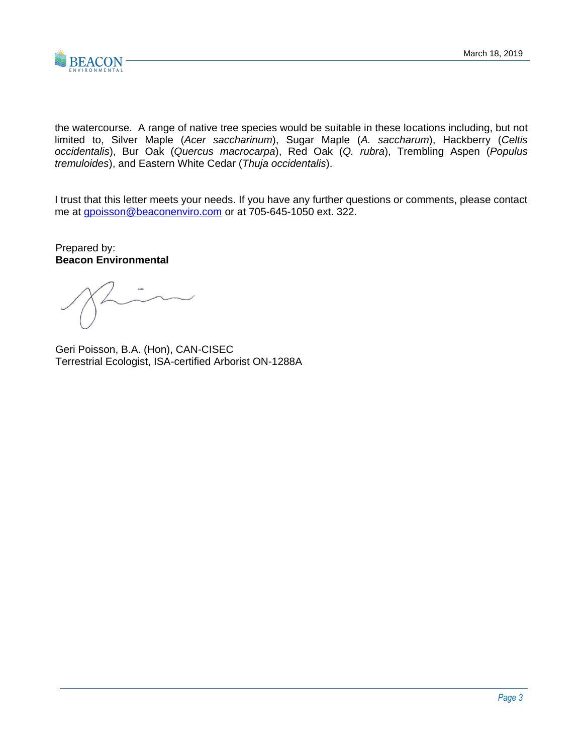

the watercourse. A range of native tree species would be suitable in these locations including, but not limited to, Silver Maple (*Acer saccharinum*), Sugar Maple (*A. saccharum*), Hackberry (*Celtis occidentalis*), Bur Oak (*Quercus macrocarpa*), Red Oak (*Q. rubra*), Trembling Aspen (*Populus tremuloides*), and Eastern White Cedar (*Thuja occidentalis*).

I trust that this letter meets your needs. If you have any further questions or comments, please contact me at **gpoisson@beaconenviro.com** or at 705-645-1050 ext. 322.

Prepared by: **Beacon Environmental**

Geri Poisson, B.A. (Hon), CAN-CISEC Terrestrial Ecologist, ISA-certified Arborist ON-1288A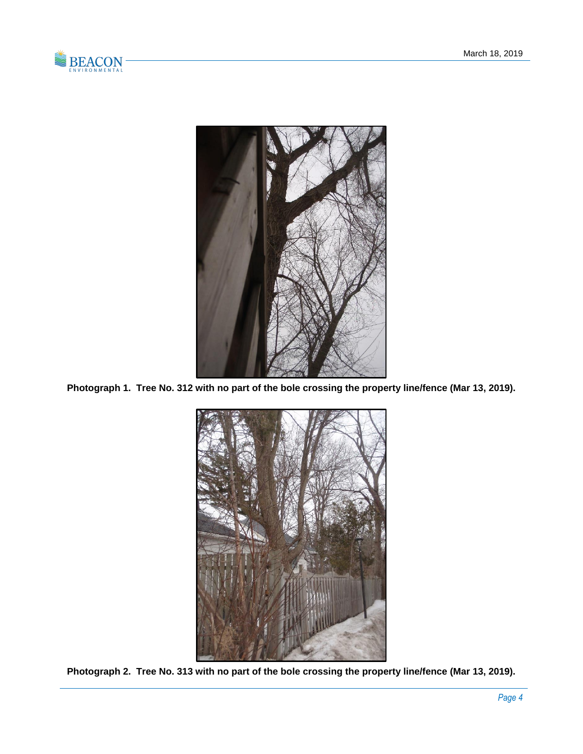



**Photograph 1. Tree No. 312 with no part of the bole crossing the property line/fence (Mar 13, 2019).**



**Photograph 2. Tree No. 313 with no part of the bole crossing the property line/fence (Mar 13, 2019).**